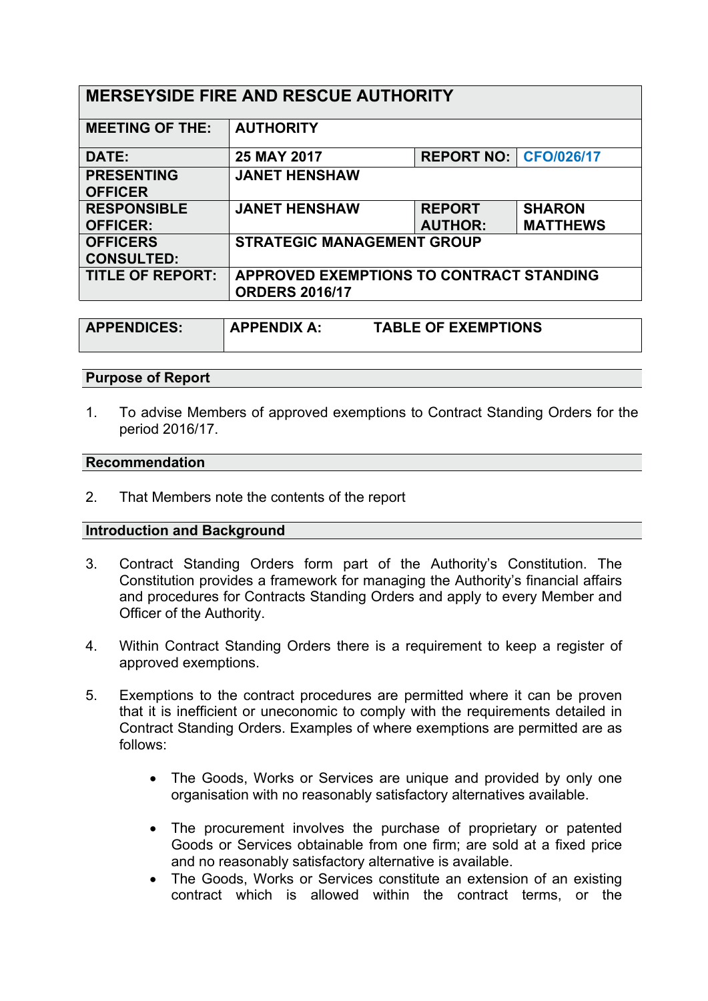| <b>MERSEYSIDE FIRE AND RESCUE AUTHORITY</b> |                                                                   |                                |                 |  |
|---------------------------------------------|-------------------------------------------------------------------|--------------------------------|-----------------|--|
| <b>MEETING OF THE:</b>                      | <b>AUTHORITY</b>                                                  |                                |                 |  |
| DATE:                                       | 25 MAY 2017                                                       | <b>REPORT NO:   CFO/026/17</b> |                 |  |
| <b>PRESENTING</b><br><b>OFFICER</b>         | <b>JANET HENSHAW</b>                                              |                                |                 |  |
| <b>RESPONSIBLE</b>                          | <b>JANET HENSHAW</b>                                              | <b>REPORT</b>                  | <b>SHARON</b>   |  |
| <b>OFFICER:</b>                             |                                                                   | <b>AUTHOR:</b>                 | <b>MATTHEWS</b> |  |
| <b>OFFICERS</b><br><b>CONSULTED:</b>        | <b>STRATEGIC MANAGEMENT GROUP</b>                                 |                                |                 |  |
| <b>TITLE OF REPORT:</b>                     | APPROVED EXEMPTIONS TO CONTRACT STANDING<br><b>ORDERS 2016/17</b> |                                |                 |  |

| <b>APPENDICES:</b> | <b>APPENDIX A.</b> | <b>TABLE OF EXEMPTIONS</b> |
|--------------------|--------------------|----------------------------|
|                    |                    |                            |

### **Purpose of Report**

1. To advise Members of approved exemptions to Contract Standing Orders for the period 2016/17.

### **Recommendation**

2. That Members note the contents of the report

### **Introduction and Background**

- 3. Contract Standing Orders form part of the Authority's Constitution. The Constitution provides a framework for managing the Authority's financial affairs and procedures for Contracts Standing Orders and apply to every Member and Officer of the Authority.
- 4. Within Contract Standing Orders there is a requirement to keep a register of approved exemptions.
- 5. Exemptions to the contract procedures are permitted where it can be proven that it is inefficient or uneconomic to comply with the requirements detailed in Contract Standing Orders. Examples of where exemptions are permitted are as follows:
	- The Goods, Works or Services are unique and provided by only one organisation with no reasonably satisfactory alternatives available.
	- The procurement involves the purchase of proprietary or patented Goods or Services obtainable from one firm; are sold at a fixed price and no reasonably satisfactory alternative is available.
	- The Goods, Works or Services constitute an extension of an existing contract which is allowed within the contract terms, or the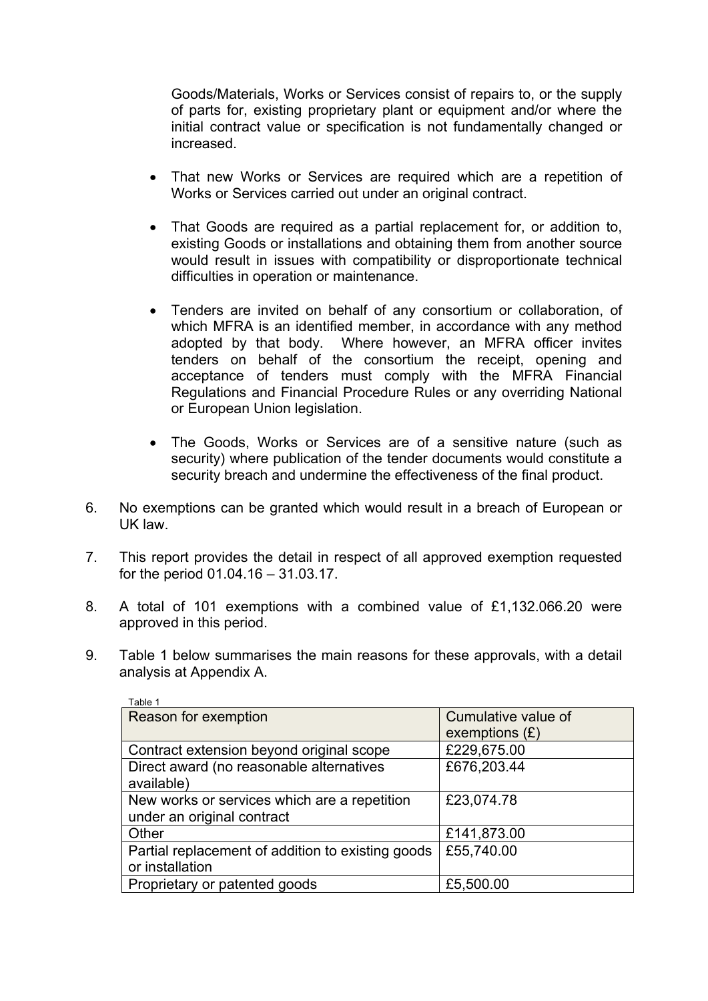Goods/Materials, Works or Services consist of repairs to, or the supply of parts for, existing proprietary plant or equipment and/or where the initial contract value or specification is not fundamentally changed or increased.

- That new Works or Services are required which are a repetition of Works or Services carried out under an original contract.
- That Goods are required as a partial replacement for, or addition to, existing Goods or installations and obtaining them from another source would result in issues with compatibility or disproportionate technical difficulties in operation or maintenance.
- Tenders are invited on behalf of any consortium or collaboration, of which MFRA is an identified member, in accordance with any method adopted by that body. Where however, an MFRA officer invites tenders on behalf of the consortium the receipt, opening and acceptance of tenders must comply with the MFRA Financial Regulations and Financial Procedure Rules or any overriding National or European Union legislation.
- The Goods, Works or Services are of a sensitive nature (such as security) where publication of the tender documents would constitute a security breach and undermine the effectiveness of the final product.
- 6. No exemptions can be granted which would result in a breach of European or UK law.
- 7. This report provides the detail in respect of all approved exemption requested for the period 01.04.16 – 31.03.17.
- 8. A total of 101 exemptions with a combined value of £1,132.066.20 were approved in this period.
- 9. Table 1 below summarises the main reasons for these approvals, with a detail analysis at Appendix A.

| Table 1                                           |                     |
|---------------------------------------------------|---------------------|
| Reason for exemption                              | Cumulative value of |
|                                                   | exemptions $(E)$    |
| Contract extension beyond original scope          | £229,675.00         |
| Direct award (no reasonable alternatives          | £676,203.44         |
| available)                                        |                     |
| New works or services which are a repetition      | £23,074.78          |
| under an original contract                        |                     |
| Other                                             | £141,873.00         |
| Partial replacement of addition to existing goods | £55,740.00          |
| or installation                                   |                     |
| Proprietary or patented goods                     | £5,500.00           |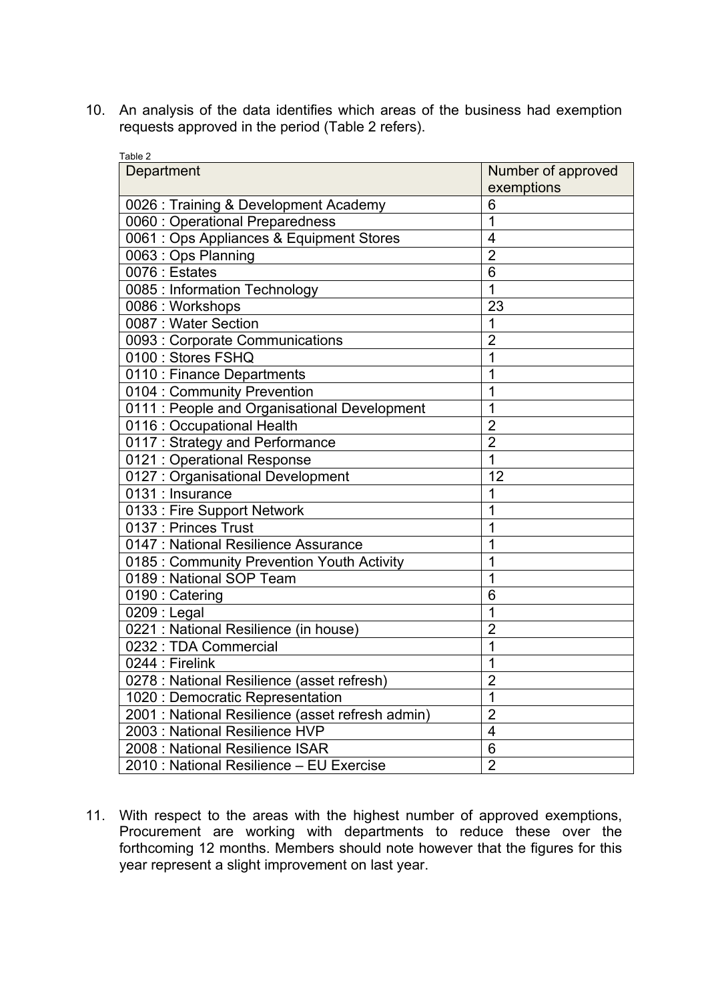10. An analysis of the data identifies which areas of the business had exemption requests approved in the period (Table 2 refers).

| exemptions<br>0026 : Training & Development Academy<br>6<br>0060 : Operational Preparedness<br>1<br>0061 : Ops Appliances & Equipment Stores<br>$\overline{4}$<br>$\overline{2}$<br>0063: Ops Planning<br>0076 : Estates<br>6<br>0085 : Information Technology<br>$\overline{1}$<br>0086 : Workshops<br>23<br>0087 : Water Section<br>$\overline{1}$<br>0093 : Corporate Communications<br>$\overline{2}$<br>0100 : Stores FSHQ<br>$\overline{1}$<br>0110 : Finance Departments<br>1<br>1<br>0104 : Community Prevention<br>0111 : People and Organisational Development<br>$\overline{1}$<br>0116 : Occupational Health<br>$\overline{2}$<br>0117 : Strategy and Performance<br>$\overline{2}$<br>1<br>0121 : Operational Response<br>12<br>0127 : Organisational Development<br>0131 : Insurance<br>1<br>1<br>0133 : Fire Support Network<br>0137 : Princes Trust<br>1<br>1<br>0147 : National Resilience Assurance<br>1<br>0185 : Community Prevention Youth Activity<br>0189 : National SOP Team<br>1<br>0190: Catering<br>6<br>0209 : Legal<br>1<br>0221 : National Resilience (in house)<br>$\overline{2}$<br>0232 : TDA Commercial<br>1<br>0244 : Firelink<br>1<br>0278 : National Resilience (asset refresh)<br>$\overline{2}$<br>1020 : Democratic Representation<br>1<br>2001 : National Resilience (asset refresh admin)<br>$\overline{2}$<br>2003 : National Resilience HVP<br>$\overline{4}$<br>2008 : National Resilience ISAR<br>6 | Table 2                                  |                    |
|---------------------------------------------------------------------------------------------------------------------------------------------------------------------------------------------------------------------------------------------------------------------------------------------------------------------------------------------------------------------------------------------------------------------------------------------------------------------------------------------------------------------------------------------------------------------------------------------------------------------------------------------------------------------------------------------------------------------------------------------------------------------------------------------------------------------------------------------------------------------------------------------------------------------------------------------------------------------------------------------------------------------------------------------------------------------------------------------------------------------------------------------------------------------------------------------------------------------------------------------------------------------------------------------------------------------------------------------------------------------------------------------------------------------------------------------------|------------------------------------------|--------------------|
|                                                                                                                                                                                                                                                                                                                                                                                                                                                                                                                                                                                                                                                                                                                                                                                                                                                                                                                                                                                                                                                                                                                                                                                                                                                                                                                                                                                                                                                   | Department                               | Number of approved |
|                                                                                                                                                                                                                                                                                                                                                                                                                                                                                                                                                                                                                                                                                                                                                                                                                                                                                                                                                                                                                                                                                                                                                                                                                                                                                                                                                                                                                                                   |                                          |                    |
|                                                                                                                                                                                                                                                                                                                                                                                                                                                                                                                                                                                                                                                                                                                                                                                                                                                                                                                                                                                                                                                                                                                                                                                                                                                                                                                                                                                                                                                   |                                          |                    |
|                                                                                                                                                                                                                                                                                                                                                                                                                                                                                                                                                                                                                                                                                                                                                                                                                                                                                                                                                                                                                                                                                                                                                                                                                                                                                                                                                                                                                                                   |                                          |                    |
|                                                                                                                                                                                                                                                                                                                                                                                                                                                                                                                                                                                                                                                                                                                                                                                                                                                                                                                                                                                                                                                                                                                                                                                                                                                                                                                                                                                                                                                   |                                          |                    |
|                                                                                                                                                                                                                                                                                                                                                                                                                                                                                                                                                                                                                                                                                                                                                                                                                                                                                                                                                                                                                                                                                                                                                                                                                                                                                                                                                                                                                                                   |                                          |                    |
|                                                                                                                                                                                                                                                                                                                                                                                                                                                                                                                                                                                                                                                                                                                                                                                                                                                                                                                                                                                                                                                                                                                                                                                                                                                                                                                                                                                                                                                   |                                          |                    |
|                                                                                                                                                                                                                                                                                                                                                                                                                                                                                                                                                                                                                                                                                                                                                                                                                                                                                                                                                                                                                                                                                                                                                                                                                                                                                                                                                                                                                                                   |                                          |                    |
|                                                                                                                                                                                                                                                                                                                                                                                                                                                                                                                                                                                                                                                                                                                                                                                                                                                                                                                                                                                                                                                                                                                                                                                                                                                                                                                                                                                                                                                   |                                          |                    |
|                                                                                                                                                                                                                                                                                                                                                                                                                                                                                                                                                                                                                                                                                                                                                                                                                                                                                                                                                                                                                                                                                                                                                                                                                                                                                                                                                                                                                                                   |                                          |                    |
|                                                                                                                                                                                                                                                                                                                                                                                                                                                                                                                                                                                                                                                                                                                                                                                                                                                                                                                                                                                                                                                                                                                                                                                                                                                                                                                                                                                                                                                   |                                          |                    |
|                                                                                                                                                                                                                                                                                                                                                                                                                                                                                                                                                                                                                                                                                                                                                                                                                                                                                                                                                                                                                                                                                                                                                                                                                                                                                                                                                                                                                                                   |                                          |                    |
|                                                                                                                                                                                                                                                                                                                                                                                                                                                                                                                                                                                                                                                                                                                                                                                                                                                                                                                                                                                                                                                                                                                                                                                                                                                                                                                                                                                                                                                   |                                          |                    |
|                                                                                                                                                                                                                                                                                                                                                                                                                                                                                                                                                                                                                                                                                                                                                                                                                                                                                                                                                                                                                                                                                                                                                                                                                                                                                                                                                                                                                                                   |                                          |                    |
|                                                                                                                                                                                                                                                                                                                                                                                                                                                                                                                                                                                                                                                                                                                                                                                                                                                                                                                                                                                                                                                                                                                                                                                                                                                                                                                                                                                                                                                   |                                          |                    |
|                                                                                                                                                                                                                                                                                                                                                                                                                                                                                                                                                                                                                                                                                                                                                                                                                                                                                                                                                                                                                                                                                                                                                                                                                                                                                                                                                                                                                                                   |                                          |                    |
|                                                                                                                                                                                                                                                                                                                                                                                                                                                                                                                                                                                                                                                                                                                                                                                                                                                                                                                                                                                                                                                                                                                                                                                                                                                                                                                                                                                                                                                   |                                          |                    |
|                                                                                                                                                                                                                                                                                                                                                                                                                                                                                                                                                                                                                                                                                                                                                                                                                                                                                                                                                                                                                                                                                                                                                                                                                                                                                                                                                                                                                                                   |                                          |                    |
|                                                                                                                                                                                                                                                                                                                                                                                                                                                                                                                                                                                                                                                                                                                                                                                                                                                                                                                                                                                                                                                                                                                                                                                                                                                                                                                                                                                                                                                   |                                          |                    |
|                                                                                                                                                                                                                                                                                                                                                                                                                                                                                                                                                                                                                                                                                                                                                                                                                                                                                                                                                                                                                                                                                                                                                                                                                                                                                                                                                                                                                                                   |                                          |                    |
|                                                                                                                                                                                                                                                                                                                                                                                                                                                                                                                                                                                                                                                                                                                                                                                                                                                                                                                                                                                                                                                                                                                                                                                                                                                                                                                                                                                                                                                   |                                          |                    |
|                                                                                                                                                                                                                                                                                                                                                                                                                                                                                                                                                                                                                                                                                                                                                                                                                                                                                                                                                                                                                                                                                                                                                                                                                                                                                                                                                                                                                                                   |                                          |                    |
|                                                                                                                                                                                                                                                                                                                                                                                                                                                                                                                                                                                                                                                                                                                                                                                                                                                                                                                                                                                                                                                                                                                                                                                                                                                                                                                                                                                                                                                   |                                          |                    |
|                                                                                                                                                                                                                                                                                                                                                                                                                                                                                                                                                                                                                                                                                                                                                                                                                                                                                                                                                                                                                                                                                                                                                                                                                                                                                                                                                                                                                                                   |                                          |                    |
|                                                                                                                                                                                                                                                                                                                                                                                                                                                                                                                                                                                                                                                                                                                                                                                                                                                                                                                                                                                                                                                                                                                                                                                                                                                                                                                                                                                                                                                   |                                          |                    |
|                                                                                                                                                                                                                                                                                                                                                                                                                                                                                                                                                                                                                                                                                                                                                                                                                                                                                                                                                                                                                                                                                                                                                                                                                                                                                                                                                                                                                                                   |                                          |                    |
|                                                                                                                                                                                                                                                                                                                                                                                                                                                                                                                                                                                                                                                                                                                                                                                                                                                                                                                                                                                                                                                                                                                                                                                                                                                                                                                                                                                                                                                   |                                          |                    |
|                                                                                                                                                                                                                                                                                                                                                                                                                                                                                                                                                                                                                                                                                                                                                                                                                                                                                                                                                                                                                                                                                                                                                                                                                                                                                                                                                                                                                                                   |                                          |                    |
|                                                                                                                                                                                                                                                                                                                                                                                                                                                                                                                                                                                                                                                                                                                                                                                                                                                                                                                                                                                                                                                                                                                                                                                                                                                                                                                                                                                                                                                   |                                          |                    |
|                                                                                                                                                                                                                                                                                                                                                                                                                                                                                                                                                                                                                                                                                                                                                                                                                                                                                                                                                                                                                                                                                                                                                                                                                                                                                                                                                                                                                                                   |                                          |                    |
|                                                                                                                                                                                                                                                                                                                                                                                                                                                                                                                                                                                                                                                                                                                                                                                                                                                                                                                                                                                                                                                                                                                                                                                                                                                                                                                                                                                                                                                   |                                          |                    |
|                                                                                                                                                                                                                                                                                                                                                                                                                                                                                                                                                                                                                                                                                                                                                                                                                                                                                                                                                                                                                                                                                                                                                                                                                                                                                                                                                                                                                                                   |                                          |                    |
|                                                                                                                                                                                                                                                                                                                                                                                                                                                                                                                                                                                                                                                                                                                                                                                                                                                                                                                                                                                                                                                                                                                                                                                                                                                                                                                                                                                                                                                   |                                          |                    |
|                                                                                                                                                                                                                                                                                                                                                                                                                                                                                                                                                                                                                                                                                                                                                                                                                                                                                                                                                                                                                                                                                                                                                                                                                                                                                                                                                                                                                                                   |                                          |                    |
|                                                                                                                                                                                                                                                                                                                                                                                                                                                                                                                                                                                                                                                                                                                                                                                                                                                                                                                                                                                                                                                                                                                                                                                                                                                                                                                                                                                                                                                   |                                          |                    |
|                                                                                                                                                                                                                                                                                                                                                                                                                                                                                                                                                                                                                                                                                                                                                                                                                                                                                                                                                                                                                                                                                                                                                                                                                                                                                                                                                                                                                                                   | 2010 : National Resilience - EU Exercise | $\overline{2}$     |

11. With respect to the areas with the highest number of approved exemptions, Procurement are working with departments to reduce these over the forthcoming 12 months. Members should note however that the figures for this year represent a slight improvement on last year.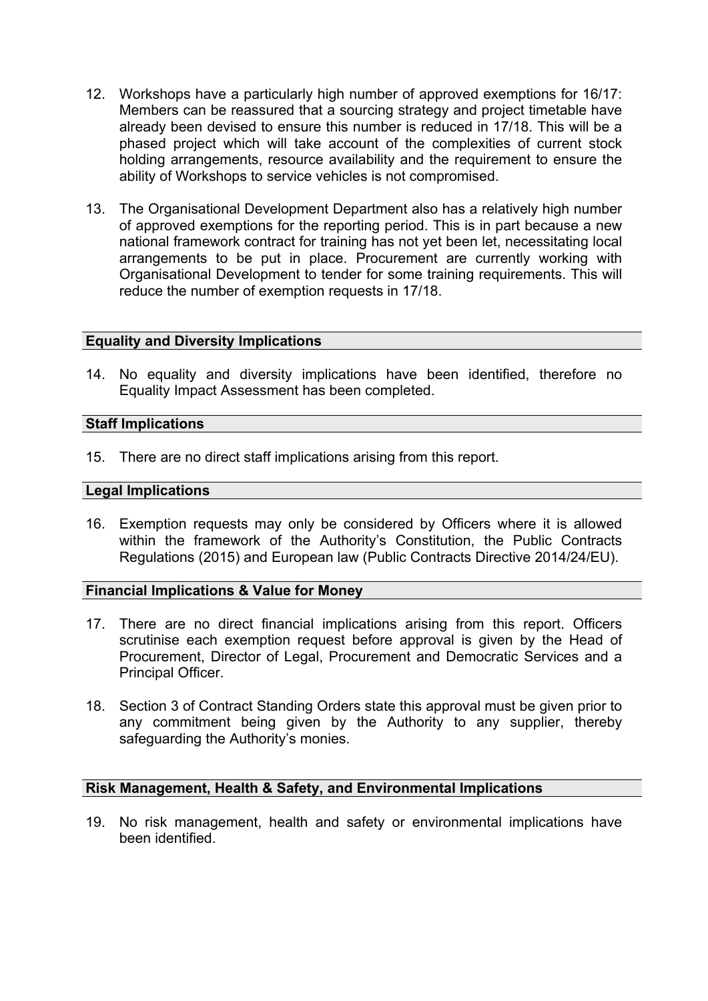- 12. Workshops have a particularly high number of approved exemptions for 16/17: Members can be reassured that a sourcing strategy and project timetable have already been devised to ensure this number is reduced in 17/18. This will be a phased project which will take account of the complexities of current stock holding arrangements, resource availability and the requirement to ensure the ability of Workshops to service vehicles is not compromised.
- 13. The Organisational Development Department also has a relatively high number of approved exemptions for the reporting period. This is in part because a new national framework contract for training has not yet been let, necessitating local arrangements to be put in place. Procurement are currently working with Organisational Development to tender for some training requirements. This will reduce the number of exemption requests in 17/18.

## **Equality and Diversity Implications**

14. No equality and diversity implications have been identified, therefore no Equality Impact Assessment has been completed.

## **Staff Implications**

15. There are no direct staff implications arising from this report.

### **Legal Implications**

16. Exemption requests may only be considered by Officers where it is allowed within the framework of the Authority's Constitution, the Public Contracts Regulations (2015) and European law (Public Contracts Directive 2014/24/EU).

## **Financial Implications & Value for Money**

- 17. There are no direct financial implications arising from this report. Officers scrutinise each exemption request before approval is given by the Head of Procurement, Director of Legal, Procurement and Democratic Services and a Principal Officer.
- 18. Section 3 of Contract Standing Orders state this approval must be given prior to any commitment being given by the Authority to any supplier, thereby safeguarding the Authority's monies.

## **Risk Management, Health & Safety, and Environmental Implications**

19. No risk management, health and safety or environmental implications have been identified.